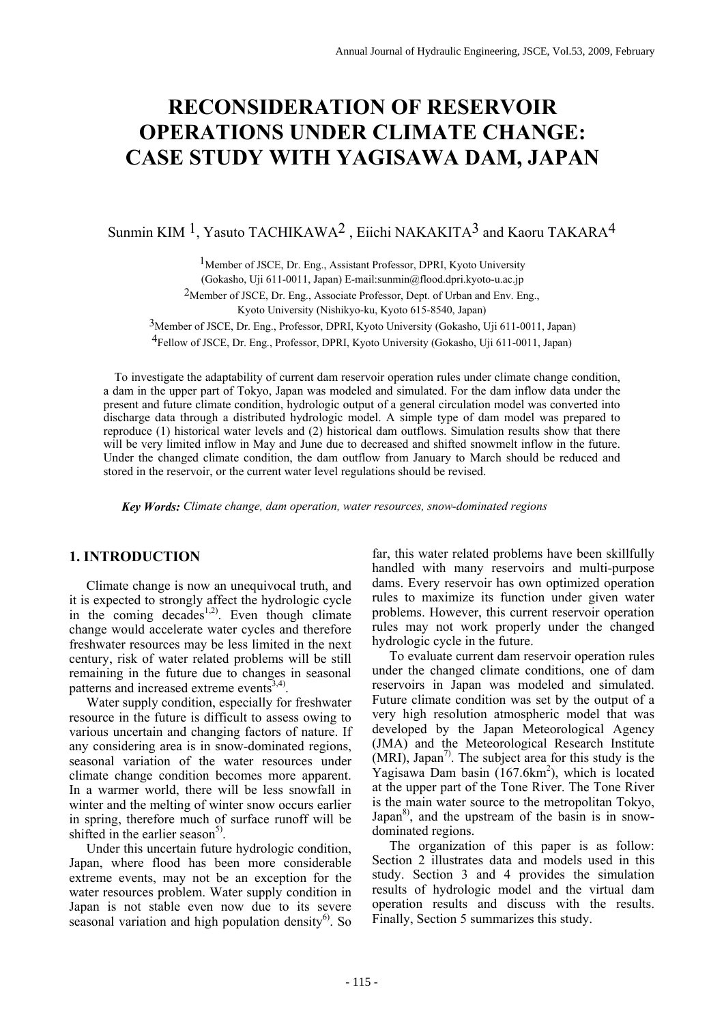# **RECONSIDERATION OF RESERVOIR OPERATIONS UNDER CLIMATE CHANGE: CASE STUDY WITH YAGISAWA DAM, JAPAN**

Sunmin KIM <sup>1</sup>, Yasuto TACHIKAWA<sup>2</sup>, Eiichi NAKAKITA<sup>3</sup> and Kaoru TAKARA<sup>4</sup>

1Member of JSCE, Dr. Eng., Assistant Professor, DPRI, Kyoto University (Gokasho, Uji 611-0011, Japan) E-mail:sunmin@flood.dpri.kyoto-u.ac.jp

2Member of JSCE, Dr. Eng., Associate Professor, Dept. of Urban and Env. Eng.,

Kyoto University (Nishikyo-ku, Kyoto 615-8540, Japan)

3Member of JSCE, Dr. Eng., Professor, DPRI, Kyoto University (Gokasho, Uji 611-0011, Japan)

4Fellow of JSCE, Dr. Eng., Professor, DPRI, Kyoto University (Gokasho, Uji 611-0011, Japan)

To investigate the adaptability of current dam reservoir operation rules under climate change condition, a dam in the upper part of Tokyo, Japan was modeled and simulated. For the dam inflow data under the present and future climate condition, hydrologic output of a general circulation model was converted into discharge data through a distributed hydrologic model. A simple type of dam model was prepared to reproduce (1) historical water levels and (2) historical dam outflows. Simulation results show that there will be very limited inflow in May and June due to decreased and shifted snowmelt inflow in the future. Under the changed climate condition, the dam outflow from January to March should be reduced and stored in the reservoir, or the current water level regulations should be revised.

 *Key Words: Climate change, dam operation, water resources, snow-dominated regions*

## **1. INTRODUCTION**

Climate change is now an unequivocal truth, and it is expected to strongly affect the hydrologic cycle in the coming decades<sup>1,2)</sup>. Even though climate change would accelerate water cycles and therefore freshwater resources may be less limited in the next century, risk of water related problems will be still remaining in the future due to changes in seasonal patterns and increased extreme events  $3,4$ ).

Water supply condition, especially for freshwater resource in the future is difficult to assess owing to various uncertain and changing factors of nature. If any considering area is in snow-dominated regions, seasonal variation of the water resources under climate change condition becomes more apparent. In a warmer world, there will be less snowfall in winter and the melting of winter snow occurs earlier in spring, therefore much of surface runoff will be shifted in the earlier season<sup>5)</sup>.

Under this uncertain future hydrologic condition, Japan, where flood has been more considerable extreme events, may not be an exception for the water resources problem. Water supply condition in Japan is not stable even now due to its severe seasonal variation and high population density $6$ . So

far, this water related problems have been skillfully handled with many reservoirs and multi-purpose dams. Every reservoir has own optimized operation rules to maximize its function under given water problems. However, this current reservoir operation rules may not work properly under the changed hydrologic cycle in the future.

To evaluate current dam reservoir operation rules under the changed climate conditions, one of dam reservoirs in Japan was modeled and simulated. Future climate condition was set by the output of a very high resolution atmospheric model that was developed by the Japan Meteorological Agency (JMA) and the Meteorological Research Institute  $(MRI)$ , Japan<sup>7)</sup>. The subject area for this study is the Yagisawa Dam basin (167.6km<sup>2</sup>), which is located at the upper part of the Tone River. The Tone River is the main water source to the metropolitan Tokyo, Japan $^{8}$ , and the upstream of the basin is in snowdominated regions.

The organization of this paper is as follow: Section 2 illustrates data and models used in this study. Section 3 and 4 provides the simulation results of hydrologic model and the virtual dam operation results and discuss with the results. Finally, Section 5 summarizes this study.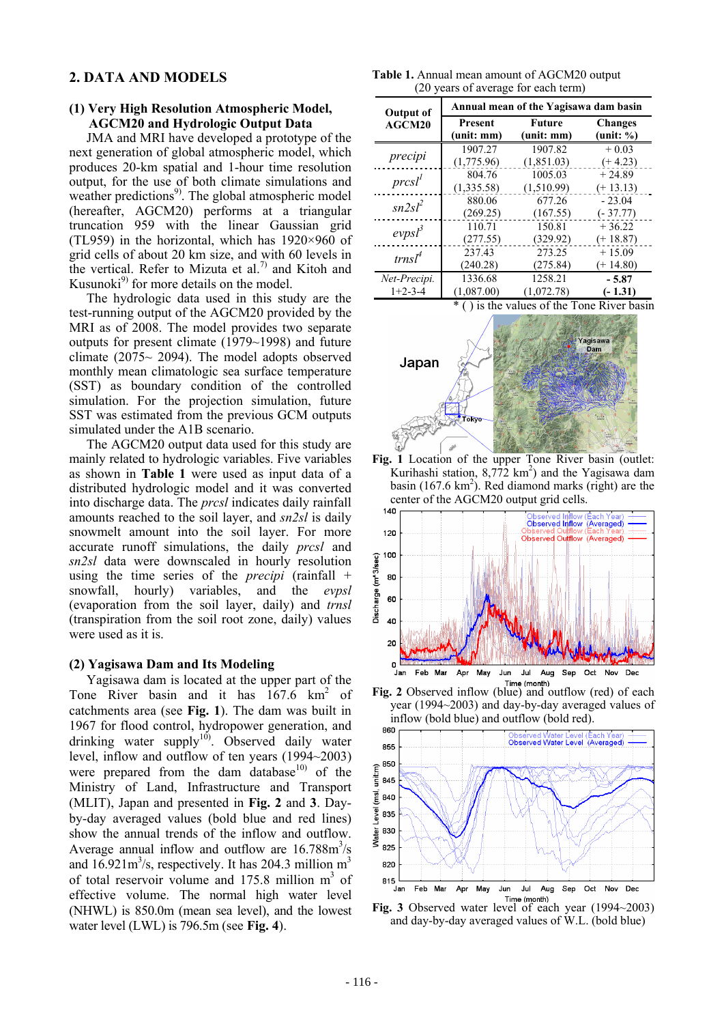# **2. DATA AND MODELS**

#### **(1) Very High Resolution Atmospheric Model, AGCM20 and Hydrologic Output Data**

JMA and MRI have developed a prototype of the next generation of global atmospheric model, which produces 20-km spatial and 1-hour time resolution output, for the use of both climate simulations and weather predictions<sup>9)</sup>. The global atmospheric model (hereafter, AGCM20) performs at a triangular truncation 959 with the linear Gaussian grid (TL959) in the horizontal, which has 1920×960 of grid cells of about 20 km size, and with 60 levels in the vertical. Refer to Mizuta et al.<sup>7)</sup> and Kitoh and Kusunoki $^{9}$  for more details on the model.

The hydrologic data used in this study are the test-running output of the AGCM20 provided by the MRI as of 2008. The model provides two separate outputs for present climate (1979~1998) and future climate  $(2075 \sim 2094)$ . The model adopts observed monthly mean climatologic sea surface temperature (SST) as boundary condition of the controlled simulation. For the projection simulation, future SST was estimated from the previous GCM outputs simulated under the A1B scenario.

The AGCM20 output data used for this study are mainly related to hydrologic variables. Five variables as shown in **Table 1** were used as input data of a distributed hydrologic model and it was converted into discharge data. The *prcsl* indicates daily rainfall amounts reached to the soil layer, and *sn2sl* is daily snowmelt amount into the soil layer. For more accurate runoff simulations, the daily *prcsl* and *sn2sl* data were downscaled in hourly resolution using the time series of the *precipi* (rainfall + snowfall, hourly) variables, and the *evpsl* (evaporation from the soil layer, daily) and *trnsl* (transpiration from the soil root zone, daily) values were used as it is.

## **(2) Yagisawa Dam and Its Modeling**

Yagisawa dam is located at the upper part of the Tone River basin and it has  $167.6 \text{ km}^2$  of catchments area (see **Fig. 1**). The dam was built in 1967 for flood control, hydropower generation, and drinking water supply $10$ . Observed daily water level, inflow and outflow of ten years (1994~2003) were prepared from the dam database $10$  of the Ministry of Land, Infrastructure and Transport (MLIT), Japan and presented in **Fig. 2** and **3**. Dayby-day averaged values (bold blue and red lines) show the annual trends of the inflow and outflow. Average annual inflow and outflow are  $16.788m<sup>3</sup>/s$ and  $16.921 \text{m}^3/\text{s}$ , respectively. It has 204.3 million  $\text{m}^3$ of total reservoir volume and  $175.8$  million  $m<sup>3</sup>$  of effective volume. The normal high water level (NHWL) is 850.0m (mean sea level), and the lowest water level (LWL) is 796.5m (see **Fig. 4**).

**Table 1.** Annual mean amount of AGCM20 output (20 years of average for each term)

| <b>Output of</b><br>AGCM20 | Annual mean of the Yagisawa dam basin |                      |                             |
|----------------------------|---------------------------------------|----------------------|-----------------------------|
|                            | Present<br>(unit: mm)                 | Future<br>(unit: mm) | <b>Changes</b><br>(unit: %) |
| precipi                    | 1907.27                               | 1907.82              | $+0.03$                     |
|                            | (1,775.96)                            | (1,851.03)           | $(+4.23)$                   |
| prcsl <sup>1</sup>         | 804.76                                | 1005.03              | $+24.89$                    |
|                            | (1,335.58)                            | (1,510.99)           | $(+13.13)$                  |
| $sn2s l^2$                 | 880.06                                | 677.26               | $-23.04$                    |
|                            | (269.25)                              | (167.55)             | $(-37.77)$                  |
| evpsl <sup>3</sup>         | 110.71                                | 150.81               | $+36.22$                    |
|                            | (277.55)                              | (329.92)             | $(+18.87)$                  |
| trnsl <sup>4</sup>         | 237.43                                | 273.25               | $+15.09$                    |
|                            | (240.28)                              | (275.84)             | $(+ 14.80)$                 |
| Net-Precipi.               | 1336.68                               | 1258.21              | $-5.87$                     |
| $1+2-3-4$                  | (1,087.00)                            | (1,072.78)           | $(-1.31)$                   |

\* ( ) is the values of the Tone River basin



Fig. 1 Location of the upper Tone River basin (outlet: Kurihashi station,  $8,772 \text{ km}^2$ ) and the Yagisawa dam basin  $(167.6 \text{ km}^2)$ . Red diamond marks (right) are the center of the AGCM20 output grid cells.



Fig. 2 Observed inflow (blue) and outflow (red) of each year (1994~2003) and day-by-day averaged values of inflow (bold blue) and outflow (bold red).



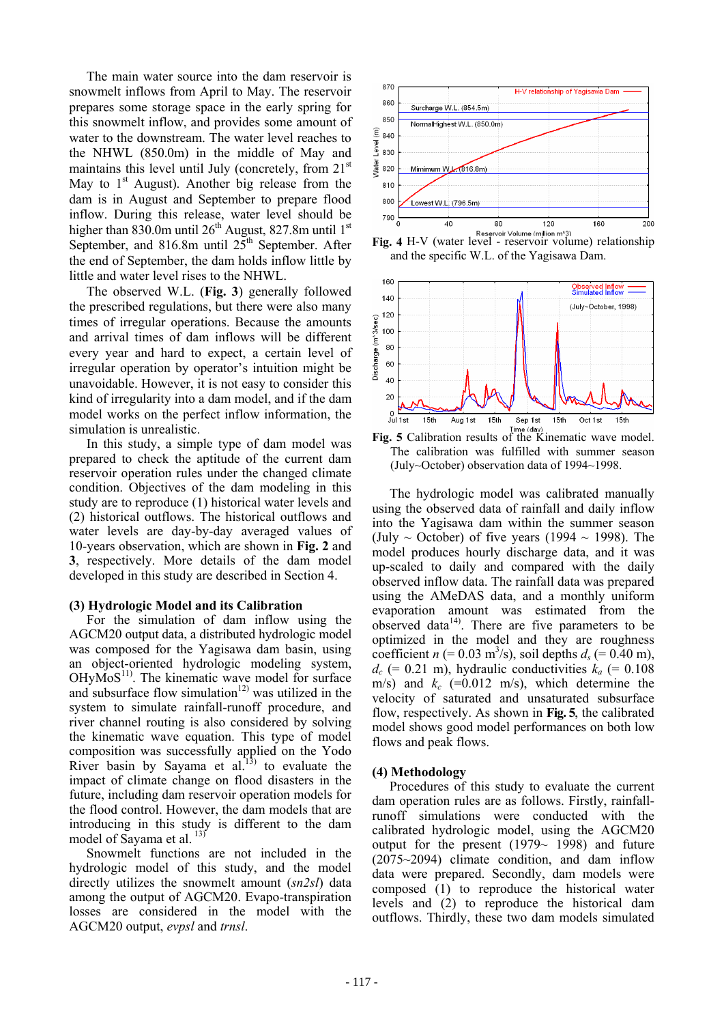The main water source into the dam reservoir is snowmelt inflows from April to May. The reservoir prepares some storage space in the early spring for this snowmelt inflow, and provides some amount of water to the downstream. The water level reaches to the NHWL (850.0m) in the middle of May and maintains this level until July (concretely, from  $21<sup>st</sup>$ May to  $1<sup>st</sup>$  August). Another big release from the dam is in August and September to prepare flood inflow. During this release, water level should be higher than 830.0m until  $26<sup>th</sup>$  August, 827.8m until  $1<sup>st</sup>$ September, and 816.8m until  $25<sup>th</sup>$  September. After the end of September, the dam holds inflow little by little and water level rises to the NHWL.

The observed W.L. (**Fig. 3**) generally followed the prescribed regulations, but there were also many times of irregular operations. Because the amounts and arrival times of dam inflows will be different every year and hard to expect, a certain level of irregular operation by operator's intuition might be unavoidable. However, it is not easy to consider this kind of irregularity into a dam model, and if the dam model works on the perfect inflow information, the simulation is unrealistic.

In this study, a simple type of dam model was prepared to check the aptitude of the current dam reservoir operation rules under the changed climate condition. Objectives of the dam modeling in this study are to reproduce (1) historical water levels and (2) historical outflows. The historical outflows and water levels are day-by-day averaged values of 10-years observation, which are shown in **Fig. 2** and **3**, respectively. More details of the dam model developed in this study are described in Section 4.

## **(3) Hydrologic Model and its Calibration**

For the simulation of dam inflow using the AGCM20 output data, a distributed hydrologic model was composed for the Yagisawa dam basin, using an object-oriented hydrologic modeling system,  $OHyMoS<sup>11</sup>$ . The kinematic wave model for surface and subsurface flow simulation<sup>12)</sup> was utilized in the system to simulate rainfall-runoff procedure, and river channel routing is also considered by solving the kinematic wave equation. This type of model composition was successfully applied on the Yodo River basin by Sayama et al.<sup>13)</sup> to evaluate the impact of climate change on flood disasters in the future, including dam reservoir operation models for the flood control. However, the dam models that are introducing in this study is different to the dam model of Sayama et al.<sup>13)</sup>

Snowmelt functions are not included in the hydrologic model of this study, and the model directly utilizes the snowmelt amount (*sn2sl*) data among the output of AGCM20. Evapo-transpiration losses are considered in the model with the AGCM20 output, *evpsl* and *trnsl*.



**Fig. 4** H-V (water level - reservoir Volume (million m<sup>,3</sup>) and the specific W.L. of the Yagisawa Dam.



The calibration was fulfilled with summer season (July~October) observation data of 1994~1998.

The hydrologic model was calibrated manually using the observed data of rainfall and daily inflow into the Yagisawa dam within the summer season (July  $\sim$  October) of five years (1994  $\sim$  1998). The model produces hourly discharge data, and it was up-scaled to daily and compared with the daily observed inflow data. The rainfall data was prepared using the AMeDAS data, and a monthly uniform evaporation amount was estimated from the observed data $14$ <sup>14)</sup>. There are five parameters to be optimized in the model and they are roughness coefficient *n* (= 0.03 m<sup>3</sup>/s), soil depths  $d_s$  (= 0.40 m),  $d_c$  (= 0.21 m), hydraulic conductivities  $k_a$  (= 0.108 m/s) and  $k_c$  (=0.012 m/s), which determine the velocity of saturated and unsaturated subsurface flow, respectively. As shown in **Fig. 5**, the calibrated model shows good model performances on both low flows and peak flows.

## **(4) Methodology**

Procedures of this study to evaluate the current dam operation rules are as follows. Firstly, rainfallrunoff simulations were conducted with the calibrated hydrologic model, using the AGCM20 output for the present  $(1979 - 1998)$  and future (2075~2094) climate condition, and dam inflow data were prepared. Secondly, dam models were composed (1) to reproduce the historical water levels and (2) to reproduce the historical dam outflows. Thirdly, these two dam models simulated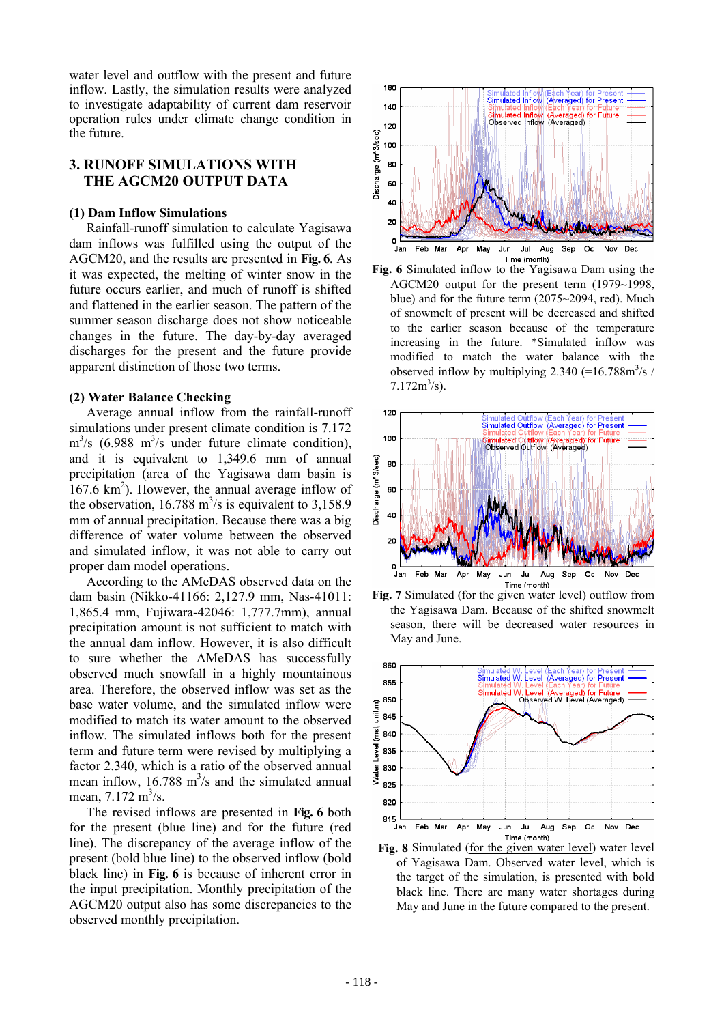water level and outflow with the present and future inflow. Lastly, the simulation results were analyzed to investigate adaptability of current dam reservoir operation rules under climate change condition in the future.

## **3. RUNOFF SIMULATIONS WITH THE AGCM20 OUTPUT DATA**

#### **(1) Dam Inflow Simulations**

Rainfall-runoff simulation to calculate Yagisawa dam inflows was fulfilled using the output of the AGCM20, and the results are presented in **Fig. 6**. As it was expected, the melting of winter snow in the future occurs earlier, and much of runoff is shifted and flattened in the earlier season. The pattern of the summer season discharge does not show noticeable changes in the future. The day-by-day averaged discharges for the present and the future provide apparent distinction of those two terms.

#### **(2) Water Balance Checking**

Average annual inflow from the rainfall-runoff simulations under present climate condition is 7.172  $\text{m}^3\text{/s}$  (6.988 m<sup>3</sup>/s under future climate condition), and it is equivalent to 1,349.6 mm of annual precipitation (area of the Yagisawa dam basin is  $167.6 \text{ km}^2$ ). However, the annual average inflow of the observation,  $16.788 \text{ m}^3/\text{s}$  is equivalent to 3,158.9 mm of annual precipitation. Because there was a big difference of water volume between the observed and simulated inflow, it was not able to carry out proper dam model operations.

According to the AMeDAS observed data on the dam basin (Nikko-41166: 2,127.9 mm, Nas-41011: 1,865.4 mm, Fujiwara-42046: 1,777.7mm), annual precipitation amount is not sufficient to match with the annual dam inflow. However, it is also difficult to sure whether the AMeDAS has successfully observed much snowfall in a highly mountainous area. Therefore, the observed inflow was set as the base water volume, and the simulated inflow were modified to match its water amount to the observed inflow. The simulated inflows both for the present term and future term were revised by multiplying a factor 2.340, which is a ratio of the observed annual mean inflow,  $16.788 \text{ m}^3$ /s and the simulated annual mean,  $7.172 \text{ m}^3/\text{s}$ .

The revised inflows are presented in **Fig. 6** both for the present (blue line) and for the future (red line). The discrepancy of the average inflow of the present (bold blue line) to the observed inflow (bold black line) in **Fig. 6** is because of inherent error in the input precipitation. Monthly precipitation of the AGCM20 output also has some discrepancies to the observed monthly precipitation.











**Fig. 8** Simulated (for the given water level) water level of Yagisawa Dam. Observed water level, which is the target of the simulation, is presented with bold black line. There are many water shortages during May and June in the future compared to the present.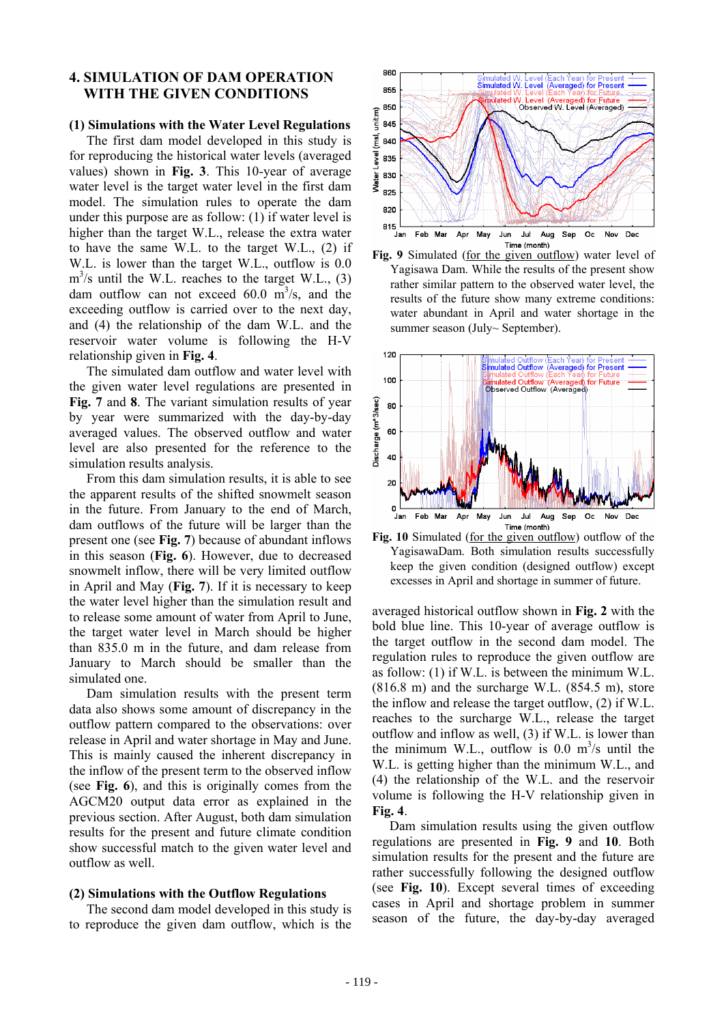## **4. SIMULATION OF DAM OPERATION WITH THE GIVEN CONDITIONS**

## **(1) Simulations with the Water Level Regulations**

The first dam model developed in this study is for reproducing the historical water levels (averaged values) shown in **Fig. 3**. This 10-year of average water level is the target water level in the first dam model. The simulation rules to operate the dam under this purpose are as follow: (1) if water level is higher than the target W.L., release the extra water to have the same W.L. to the target W.L., (2) if W.L. is lower than the target W.L., outflow is 0.0  $m<sup>3</sup>/s$  until the W.L. reaches to the target W.L., (3) dam outflow can not exceed  $60.0 \text{ m}^3$ /s, and the exceeding outflow is carried over to the next day, and (4) the relationship of the dam W.L. and the reservoir water volume is following the H-V relationship given in **Fig. 4**.

The simulated dam outflow and water level with the given water level regulations are presented in **Fig. 7** and **8**. The variant simulation results of year by year were summarized with the day-by-day averaged values. The observed outflow and water level are also presented for the reference to the simulation results analysis.

From this dam simulation results, it is able to see the apparent results of the shifted snowmelt season in the future. From January to the end of March, dam outflows of the future will be larger than the present one (see **Fig. 7**) because of abundant inflows in this season (**Fig. 6**). However, due to decreased snowmelt inflow, there will be very limited outflow in April and May (**Fig. 7**). If it is necessary to keep the water level higher than the simulation result and to release some amount of water from April to June, the target water level in March should be higher than 835.0 m in the future, and dam release from January to March should be smaller than the simulated one.

Dam simulation results with the present term data also shows some amount of discrepancy in the outflow pattern compared to the observations: over release in April and water shortage in May and June. This is mainly caused the inherent discrepancy in the inflow of the present term to the observed inflow (see **Fig. 6**), and this is originally comes from the AGCM20 output data error as explained in the previous section. After August, both dam simulation results for the present and future climate condition show successful match to the given water level and outflow as well.

#### **(2) Simulations with the Outflow Regulations**

The second dam model developed in this study is to reproduce the given dam outflow, which is the







Fig. 10 Simulated (for the given outflow) outflow of the YagisawaDam. Both simulation results successfully keep the given condition (designed outflow) except excesses in April and shortage in summer of future.

averaged historical outflow shown in **Fig. 2** with the bold blue line. This 10-year of average outflow is the target outflow in the second dam model. The regulation rules to reproduce the given outflow are as follow: (1) if W.L. is between the minimum W.L.  $(816.8 \text{ m})$  and the surcharge W.L.  $(854.5 \text{ m})$ , store the inflow and release the target outflow, (2) if W.L. reaches to the surcharge W.L., release the target outflow and inflow as well, (3) if W.L. is lower than the minimum W.L., outflow is 0.0  $m^3/s$  until the W.L. is getting higher than the minimum W.L., and (4) the relationship of the W.L. and the reservoir volume is following the H-V relationship given in **Fig. 4**.

Dam simulation results using the given outflow regulations are presented in **Fig. 9** and **10**. Both simulation results for the present and the future are rather successfully following the designed outflow (see **Fig. 10**). Except several times of exceeding cases in April and shortage problem in summer season of the future, the day-by-day averaged